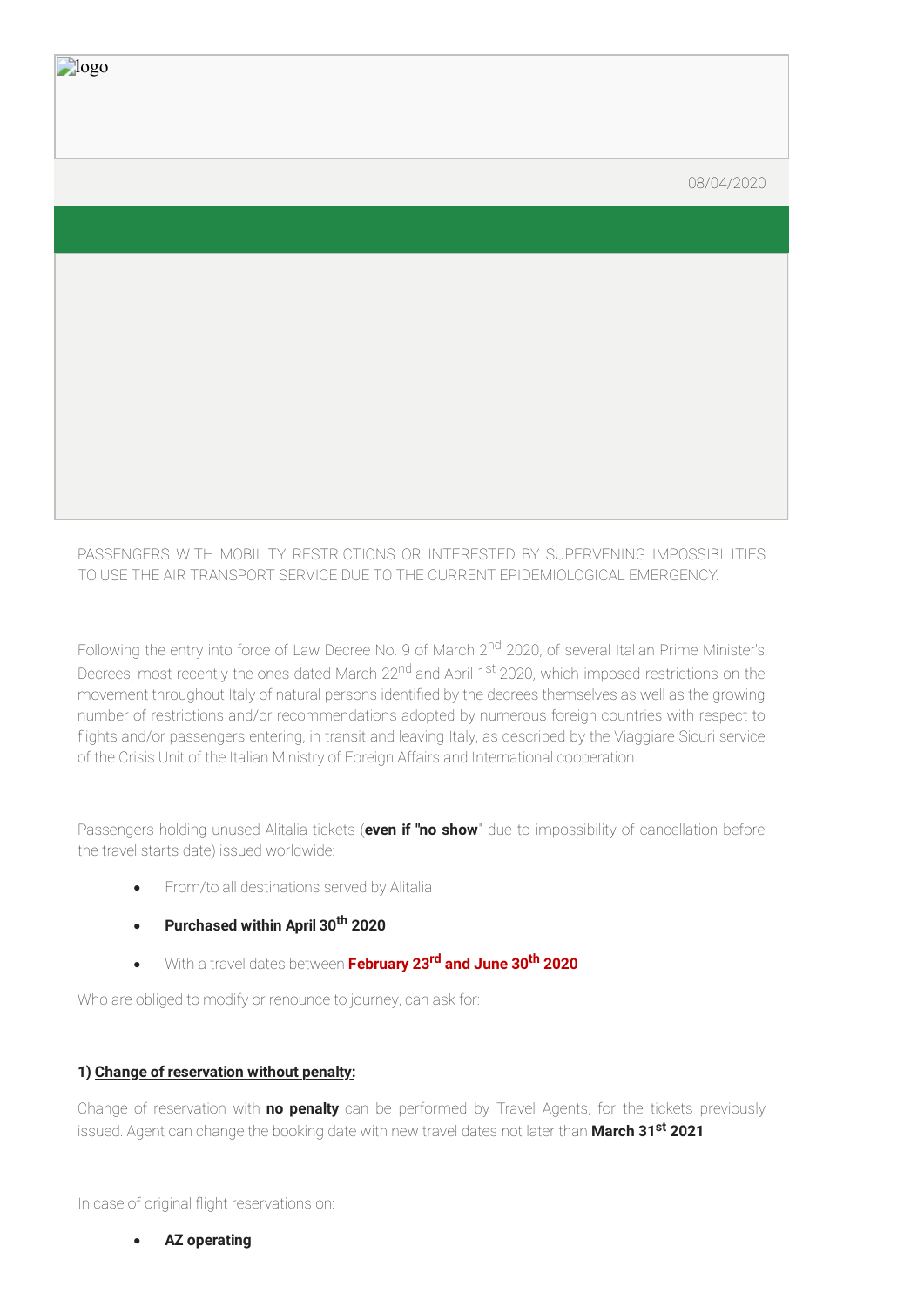#### 08/04/2020

PASSENGERS WITH MOBILITY RESTRICTIONS OR INTERESTED BY SUPERVENING IMPOSSIBILITIES TO USE THE AIR TRANSPORT SERVICE DUE TO THE CURRENT EPIDEMIOLOGICAL EMERGENCY.

Following the entry into force of Law Decree No. 9 of March 2<sup>nd</sup> 2020, of several Italian Prime Minister's Decrees, most recently the ones dated March 22<sup>nd</sup> and April 1<sup>st</sup> 2020, which imposed restrictions on the movement throughout Italy of natural persons identified by the decrees themselves as well as the growing number of restrictions and/or recommendations adopted by numerous foreign countries with respect to flights and/or passengers entering, in transit and leaving Italy, as described by the Viaggiare Sicuri service of the Crisis Unit of the Italian Ministry of Foreign Affairs and International cooperation.

Passengers holding unused Alitalia tickets (**even if "no show**" due to impossibility of cancellation before the travel starts date) issued worldwide:

- · From/to all destinations served by Alitalia
- · **Purchased within April 30 th 2020**
- · With a travel dates between **February 23 rd and June 30 th 2020**

Who are obliged to modify or renounce to journey, can ask for:

# **1) Change of reservation without penalty:**

logo

Change of reservation with **no penalty** can be performed by Travel Agents, for the tickets previously issued. Agent can change the booking date with new travel dates not later than **March 31 st 2021**

In case of original flight reservations on:

· **AZ operating**